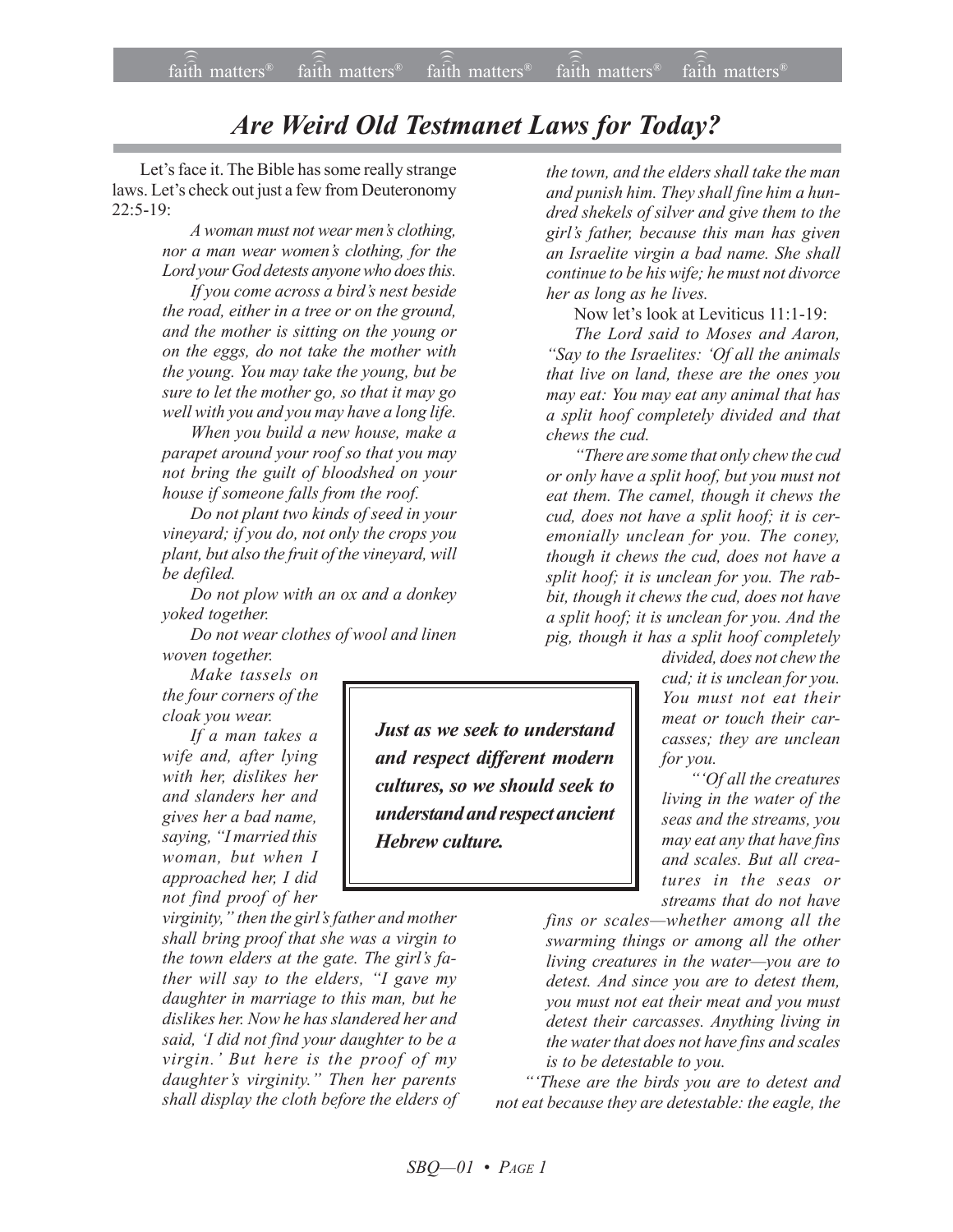## *Are Weird Old Testmanet Laws for Today?*

Let's face it. The Bible has some really strange laws. Let's check out just a few from Deuteronomy 22:5-19:

> *A woman must not wear menís clothing, nor a man wear womenís clothing, for the Lord your God detests anyone who does this.*

> If you come across a bird's nest beside *the road, either in a tree or on the ground, and the mother is sitting on the young or on the eggs, do not take the mother with the young. You may take the young, but be sure to let the mother go, so that it may go well with you and you may have a long life.*

> *When you build a new house, make a parapet around your roof so that you may not bring the guilt of bloodshed on your house if someone falls from the roof.*

> *Do not plant two kinds of seed in your vineyard; if you do, not only the crops you plant, but also the fruit of the vineyard, will be defiled.*

> *Do not plow with an ox and a donkey yoked together.*

> *Do not wear clothes of wool and linen woven together.*

*Make tassels on the four corners of the cloak you wear.*

*If a man takes a wife and, after lying with her, dislikes her and slanders her and gives her a bad name,* saying, "I married this *woman, but when I approached her, I did not find proof of her*

*virginity,*" then the girl's father and mother *shall bring proof that she was a virgin to the town elders at the gate. The girlís father will say to the elders, "I gave my daughter in marriage to this man, but he dislikes her. Now he has slandered her and said, ëI did not find your daughter to be a virgin.í But here is the proof of my* daughter's virginity." Then her parents *shall display the cloth before the elders of* *the town, and the elders shall take the man and punish him. They shall fine him a hundred shekels of silver and give them to the girlís father, because this man has given an Israelite virgin a bad name. She shall continue to be his wife; he must not divorce her as long as he lives.*

Now let's look at Leviticus 11:1-19:

*The Lord said to Moses and Aaron, ìSay to the Israelites: ëOf all the animals that live on land, these are the ones you may eat: You may eat any animal that has a split hoof completely divided and that chews the cud.*

*ìThere are some that only chew the cud or only have a split hoof, but you must not eat them. The camel, though it chews the cud, does not have a split hoof; it is ceremonially unclean for you. The coney, though it chews the cud, does not have a split hoof; it is unclean for you. The rabbit, though it chews the cud, does not have a split hoof; it is unclean for you. And the pig, though it has a split hoof completely*

*divided, does not chew the cud; it is unclean for you. You must not eat their meat or touch their carcasses; they are unclean for you.*

*ìëOf all the creatures living in the water of the seas and the streams, you may eat any that have fins and scales. But all creatures in the seas or streams that do not have*

*fins or scales—whether among all the swarming things or among all the other living creatures in the water-you are to detest. And since you are to detest them, you must not eat their meat and you must detest their carcasses. Anything living in the water that does not have fins and scales is to be detestable to you.*

*ìëThese are the birds you are to detest and not eat because they are detestable: the eagle, the*

*Just as we seek to understand and respect different modern cultures, so we should seek to understand and respect ancient Hebrew culture.*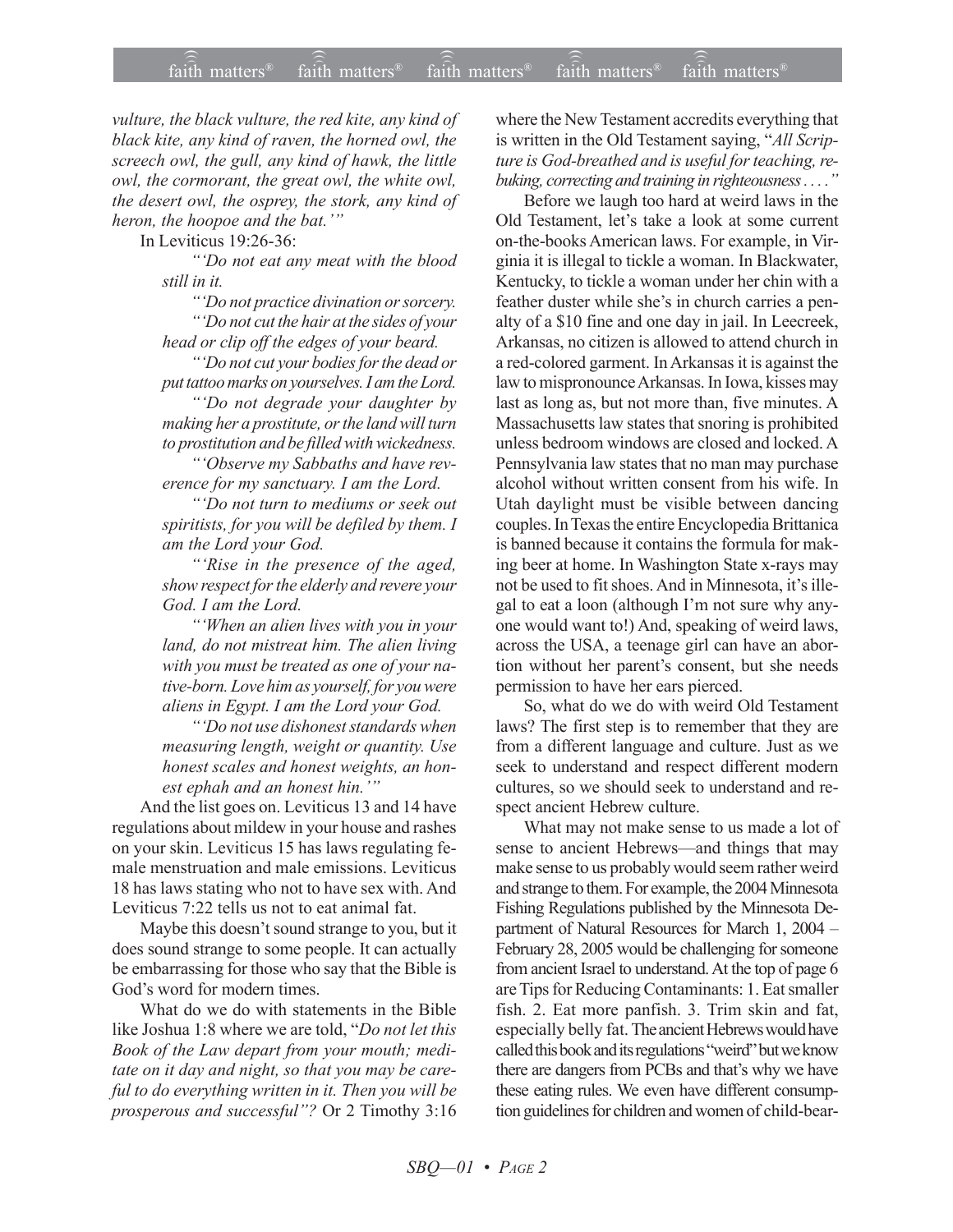*vulture, the black vulture, the red kite, any kind of black kite, any kind of raven, the horned owl, the screech owl, the gull, any kind of hawk, the little owl, the cormorant, the great owl, the white owl, the desert owl, the osprey, the stork, any kind of* heron, the hoopoe and the bat.<sup>"</sup>

In Leviticus 19:26-36:

*ìëDo not eat any meat with the blood still in it.*

*ìëDo not practice divination or sorcery. ìëDo not cut the hair at the sides of your*

*head or clip off the edges of your beard. ìëDo not cut your bodies for the dead or put tattoo marks on yourselves. I am the Lord. ìëDo not degrade your daughter by*

*making her a prostitute, or the land will turn to prostitution and be filled with wickedness. ìëObserve my Sabbaths and have rev-*

*erence for my sanctuary. I am the Lord.*

*ìëDo not turn to mediums or seek out spiritists, for you will be defiled by them. I am the Lord your God.*

*ìëRise in the presence of the aged, show respect for the elderly and revere your God. I am the Lord.*

*ìëWhen an alien lives with you in your land, do not mistreat him. The alien living with you must be treated as one of your native-born. Love him as yourself, for you were aliens in Egypt. I am the Lord your God.*

*ìëDo not use dishonest standards when measuring length, weight or quantity. Use honest scales and honest weights, an hon*est ephah and an honest hin.<sup>77</sup>

And the list goes on. Leviticus 13 and 14 have regulations about mildew in your house and rashes on your skin. Leviticus 15 has laws regulating female menstruation and male emissions. Leviticus 18 has laws stating who not to have sex with. And Leviticus 7:22 tells us not to eat animal fat.

Maybe this doesn't sound strange to you, but it does sound strange to some people. It can actually be embarrassing for those who say that the Bible is God's word for modern times.

What do we do with statements in the Bible like Joshua 1:8 where we are told, *"Do not let this Book of the Law depart from your mouth; meditate on it day and night, so that you may be careful to do everything written in it. Then you will be prosperous and successful*"? Or 2 Timothy 3:16 where the New Testament accredits everything that is written in the Old Testament saying, "*All Scripture is God-breathed and is useful for teaching, rebuking, correcting and training in righteousness . . . .î*

Before we laugh too hard at weird laws in the Old Testament, let's take a look at some current on-the-books American laws. For example, in Virginia it is illegal to tickle a woman. In Blackwater, Kentucky, to tickle a woman under her chin with a feather duster while she's in church carries a penalty of a \$10 fine and one day in jail. In Leecreek, Arkansas, no citizen is allowed to attend church in a red-colored garment. In Arkansas it is against the law to mispronounce Arkansas. In Iowa, kisses may last as long as, but not more than, five minutes. A Massachusetts law states that snoring is prohibited unless bedroom windows are closed and locked. A Pennsylvania law states that no man may purchase alcohol without written consent from his wife. In Utah daylight must be visible between dancing couples. In Texas the entire Encyclopedia Brittanica is banned because it contains the formula for making beer at home. In Washington State x-rays may not be used to fit shoes. And in Minnesota, it's illegal to eat a loon (although I'm not sure why anyone would want to!) And, speaking of weird laws, across the USA, a teenage girl can have an abortion without her parent's consent, but she needs permission to have her ears pierced.

So, what do we do with weird Old Testament laws? The first step is to remember that they are from a different language and culture. Just as we seek to understand and respect different modern cultures, so we should seek to understand and respect ancient Hebrew culture.

What may not make sense to us made a lot of sense to ancient Hebrews—and things that may make sense to us probably would seem rather weird and strange to them. For example, the 2004 Minnesota Fishing Regulations published by the Minnesota Department of Natural Resources for March  $1, 2004$   $-$ February 28, 2005 would be challenging for someone from ancient Israel to understand. At the top of page 6 are Tips for Reducing Contaminants: 1. Eat smaller fish. 2. Eat more panfish. 3. Trim skin and fat, especially belly fat. The ancient Hebrews would have called this book and its regulations "weird" but we know there are dangers from PCBs and that's why we have these eating rules. We even have different consumption guidelines for children and women of child-bear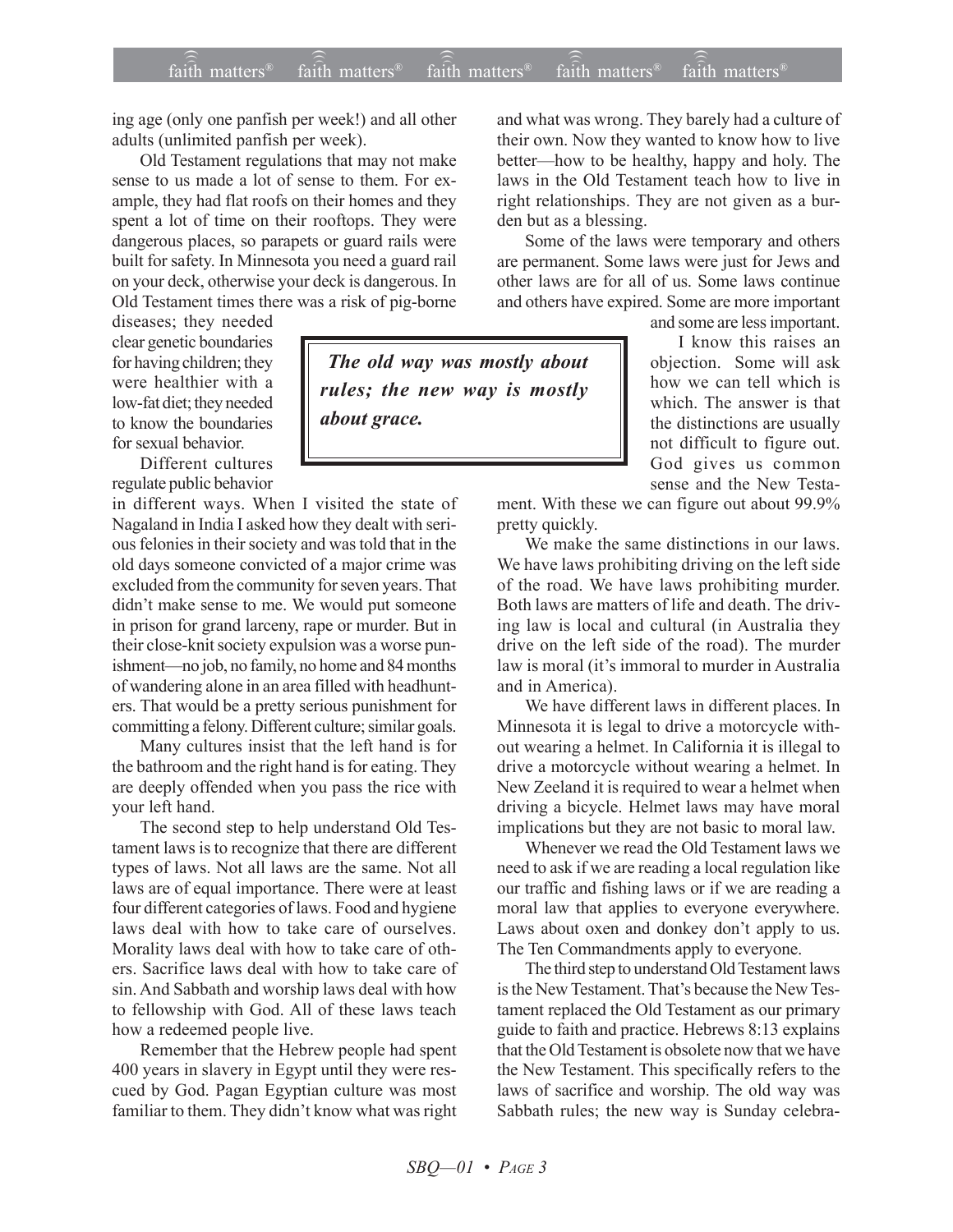ing age (only one panfish per week!) and all other adults (unlimited panfish per week).

Old Testament regulations that may not make sense to us made a lot of sense to them. For example, they had flat roofs on their homes and they spent a lot of time on their rooftops. They were dangerous places, so parapets or guard rails were built for safety. In Minnesota you need a guard rail on your deck, otherwise your deck is dangerous. In Old Testament times there was a risk of pig-borne

diseases; they needed clear genetic boundaries for having children; they were healthier with a low-fat diet; they needed to know the boundaries for sexual behavior.

Different cultures regulate public behavior

in different ways. When I visited the state of Nagaland in India I asked how they dealt with serious felonies in their society and was told that in the old days someone convicted of a major crime was excluded from the community for seven years. That didn't make sense to me. We would put someone in prison for grand larceny, rape or murder. But in their close-knit society expulsion was a worse punishment-no job, no family, no home and 84 months of wandering alone in an area filled with headhunters. That would be a pretty serious punishment for committing a felony. Different culture; similar goals.

Many cultures insist that the left hand is for the bathroom and the right hand is for eating. They are deeply offended when you pass the rice with your left hand.

The second step to help understand Old Testament laws is to recognize that there are different types of laws. Not all laws are the same. Not all laws are of equal importance. There were at least four different categories of laws. Food and hygiene laws deal with how to take care of ourselves. Morality laws deal with how to take care of others. Sacrifice laws deal with how to take care of sin. And Sabbath and worship laws deal with how to fellowship with God. All of these laws teach how a redeemed people live.

Remember that the Hebrew people had spent 400 years in slavery in Egypt until they were rescued by God. Pagan Egyptian culture was most familiar to them. They didn't know what was right and what was wrong. They barely had a culture of their own. Now they wanted to know how to live better—how to be healthy, happy and holy. The laws in the Old Testament teach how to live in right relationships. They are not given as a burden but as a blessing.

Some of the laws were temporary and others are permanent. Some laws were just for Jews and other laws are for all of us. Some laws continue and others have expired. Some are more important

and some are less important.

I know this raises an objection. Some will ask how we can tell which is which. The answer is that the distinctions are usually not difficult to figure out. God gives us common sense and the New Testa-

ment. With these we can figure out about 99.9% pretty quickly.

We make the same distinctions in our laws. We have laws prohibiting driving on the left side of the road. We have laws prohibiting murder. Both laws are matters of life and death. The driving law is local and cultural (in Australia they drive on the left side of the road). The murder law is moral (it's immoral to murder in Australia and in America).

We have different laws in different places. In Minnesota it is legal to drive a motorcycle without wearing a helmet. In California it is illegal to drive a motorcycle without wearing a helmet. In New Zeeland it is required to wear a helmet when driving a bicycle. Helmet laws may have moral implications but they are not basic to moral law.

Whenever we read the Old Testament laws we need to ask if we are reading a local regulation like our traffic and fishing laws or if we are reading a moral law that applies to everyone everywhere. Laws about oxen and donkey don't apply to us. The Ten Commandments apply to everyone.

The third step to understand Old Testament laws is the New Testament. That's because the New Testament replaced the Old Testament as our primary guide to faith and practice. Hebrews 8:13 explains that the Old Testament is obsolete now that we have the New Testament. This specifically refers to the laws of sacrifice and worship. The old way was Sabbath rules; the new way is Sunday celebra-

*rules; the new way is mostly about grace.*

 *The old way was mostly about*